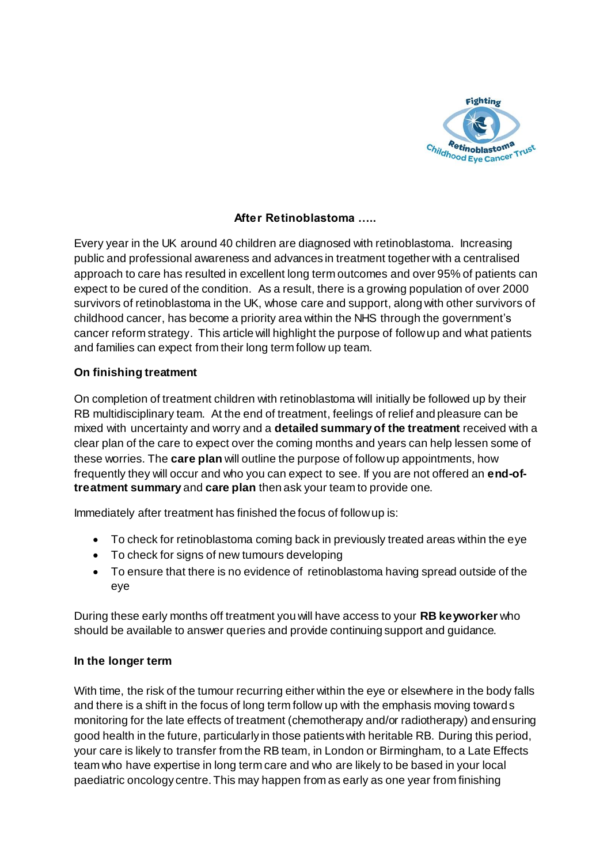

# **After Retinoblastoma …..**

Every year in the UK around 40 children are diagnosed with retinoblastoma. Increasing public and professional awareness and advances in treatment together with a centralised approach to care has resulted in excellent long term outcomes and over 95% of patients can expect to be cured of the condition. As a result, there is a growing population of over 2000 survivors of retinoblastoma in the UK, whose care and support, along with other survivors of childhood cancer, has become a priority area within the NHS through the government's cancer reform strategy. This article will highlight the purpose of follow up and what patients and families can expect from their long term follow up team.

# **On finishing treatment**

On completion of treatment children with retinoblastoma will initially be followed up by their RB multidisciplinary team. At the end of treatment, feelings of relief and pleasure can be mixed with uncertainty and worry and a **detailed summary of the treatment** received with a clear plan of the care to expect over the coming months and years can help lessen some of these worries. The **care plan** will outline the purpose of follow up appointments, how frequently they will occur and who you can expect to see. If you are not offered an **end-oftreatment summary** and **care plan** then ask your team to provide one.

Immediately after treatment has finished the focus of follow up is:

- To check for retinoblastoma coming back in previously treated areas within the eye
- To check for signs of new tumours developing
- To ensure that there is no evidence of retinoblastoma having spread outside of the eye

During these early months off treatment you will have access to your **RB keyworker** who should be available to answer queries and provide continuing support and guidance.

# **In the longer term**

With time, the risk of the tumour recurring either within the eye or elsewhere in the body falls and there is a shift in the focus of long term follow up with the emphasis moving towards monitoring for the late effects of treatment (chemotherapy and/or radiotherapy) and ensuring good health in the future, particularly in those patients with heritable RB. During this period, your care is likely to transfer from the RB team, in London or Birmingham, to a Late Effects team who have expertise in long term care and who are likely to be based in your local paediatric oncology centre. This may happen from as early as one year from finishing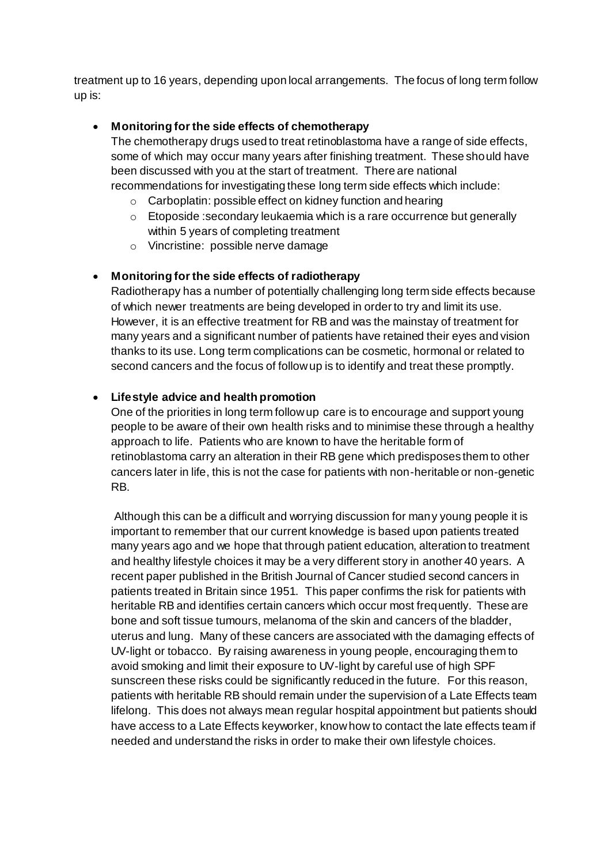treatment up to 16 years, depending upon local arrangements. The focus of long term follow up is:

#### **Monitoring for the side effects of chemotherapy**

The chemotherapy drugs used to treat retinoblastoma have a range of side effects, some of which may occur many years after finishing treatment. These should have been discussed with you at the start of treatment. There are national recommendations for investigating these long term side effects which include:

- o Carboplatin: possible effect on kidney function and hearing
- $\circ$  Etoposide : secondary leukaemia which is a rare occurrence but generally within 5 years of completing treatment
- o Vincristine: possible nerve damage

## **Monitoring for the side effects of radiotherapy**

Radiotherapy has a number of potentially challenging long term side effects because of which newer treatments are being developed in order to try and limit its use. However, it is an effective treatment for RB and was the mainstay of treatment for many years and a significant number of patients have retained their eyes and vision thanks to its use. Long term complications can be cosmetic, hormonal or related to second cancers and the focus of follow up is to identify and treat these promptly.

#### **Lifestyle advice and health promotion**

One of the priorities in long term follow up care is to encourage and support young people to be aware of their own health risks and to minimise these through a healthy approach to life. Patients who are known to have the heritable form of retinoblastoma carry an alteration in their RB gene which predisposes them to other cancers later in life, this is not the case for patients with non-heritable or non-genetic RB.

Although this can be a difficult and worrying discussion for many young people it is important to remember that our current knowledge is based upon patients treated many years ago and we hope that through patient education, alteration to treatment and healthy lifestyle choices it may be a very different story in another 40 years. A recent paper published in the British Journal of Cancer studied second cancers in patients treated in Britain since 1951. This paper confirms the risk for patients with heritable RB and identifies certain cancers which occur most frequently. These are bone and soft tissue tumours, melanoma of the skin and cancers of the bladder, uterus and lung. Many of these cancers are associated with the damaging effects of UV-light or tobacco. By raising awareness in young people, encouraging them to avoid smoking and limit their exposure to UV-light by careful use of high SPF sunscreen these risks could be significantly reduced in the future. For this reason, patients with heritable RB should remain under the supervision of a Late Effects team lifelong. This does not always mean regular hospital appointment but patients should have access to a Late Effects keyworker, know how to contact the late effects team if needed and understand the risks in order to make their own lifestyle choices.